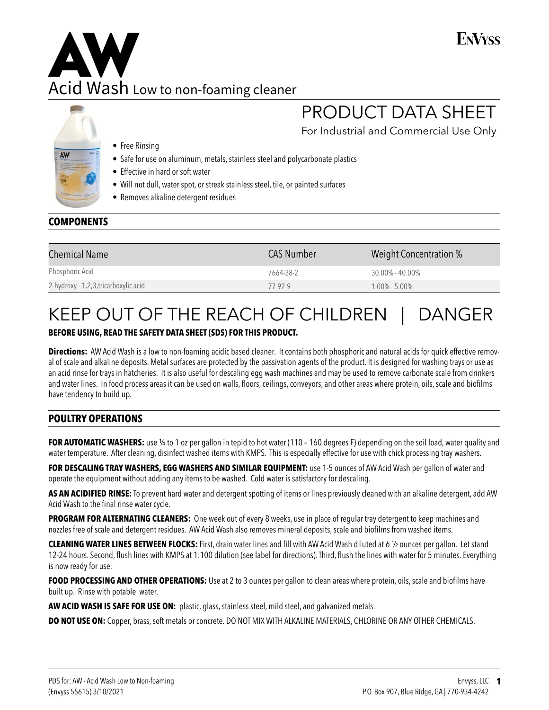### ENVyss

PRODUCT DATA SHEET

For Industrial and Commercial Use Only

# Acid Wash Low to non-foaming cleaner **AW**



- Free Rinsing
- Safe for use on aluminum, metals, stainless steel and polycarbonate plastics
- Effective in hard or soft water
- Will not dull, water spot, or streak stainless steel, tile, or painted surfaces
- Removes alkaline detergent residues

#### **COMPONENTS**

| <b>Chemical Name</b>                  | <b>CAS Number</b> | Weight Concentration % |
|---------------------------------------|-------------------|------------------------|
| Phosphoric Acid                       | 7664-38-2         | $30.00\% - 40.00\%$    |
| 2-hydroxy - 1,2,3, tricarboxylic acid | 77-92-9           | $1.00\% - 5.00\%$      |

## KEEP OUT OF THE REACH OF CHILDREN | DANGER

#### **BEFORE USING, READ THE SAFETY DATA SHEET (SDS) FOR THIS PRODUCT.**

**Directions:** AW Acid Wash is a low to non-foaming acidic based cleaner. It contains both phosphoric and natural acids for quick effective removal of scale and alkaline deposits. Metal surfaces are protected by the passivation agents of the product. It is designed for washing trays or use as an acid rinse for trays in hatcheries. It is also useful for descaling egg wash machines and may be used to remove carbonate scale from drinkers and water lines. In food process areas it can be used on walls, floors, ceilings, conveyors, and other areas where protein, oils, scale and biofilms have tendency to build up.

#### **POULTRY OPERATIONS**

FOR AUTOMATIC WASHERS: use 14 to 1 oz per gallon in tepid to hot water (110 - 160 degrees F) depending on the soil load, water quality and water temperature. After cleaning, disinfect washed items with KMPS. This is especially effective for use with chick processing tray washers.

**FOR DESCALING TRAY WASHERS, EGG WASHERS AND SIMILAR EQUIPMENT:** use 1-5 ounces of AW Acid Wash per gallon of water and operate the equipment without adding any items to be washed. Cold water is satisfactory for descaling.

**AS AN ACIDIFIED RINSE:** To prevent hard water and detergent spotting of items or lines previously cleaned with an alkaline detergent, add AW Acid Wash to the final rinse water cycle.

**PROGRAM FOR ALTERNATING CLEANERS:** One week out of every 8 weeks, use in place of regular tray detergent to keep machines and nozzles free of scale and detergent residues. AW Acid Wash also removes mineral deposits, scale and biofilms from washed items.

**CLEANING WATER LINES BETWEEN FLOCKS:** First, drain water lines and fill with AW Acid Wash diluted at 6 ½ ounces per gallon. Let stand 12-24 hours. Second, flush lines with KMPS at 1:100 dilution (see label for directions). Third, flush the lines with water for 5 minutes. Everything is now ready for use.

FOOD PROCESSING AND OTHER OPERATIONS: Use at 2 to 3 ounces per gallon to clean areas where protein, oils, scale and biofilms have built up. Rinse with potable water.

**AW ACID WASH IS SAFE FOR USE ON:** plastic, glass, stainless steel, mild steel, and galvanized metals.

**DO NOT USE ON:** Copper, brass, soft metals or concrete. DO NOT MIX WITH ALKALINE MATERIALS, CHLORINE OR ANY OTHER CHEMICALS.